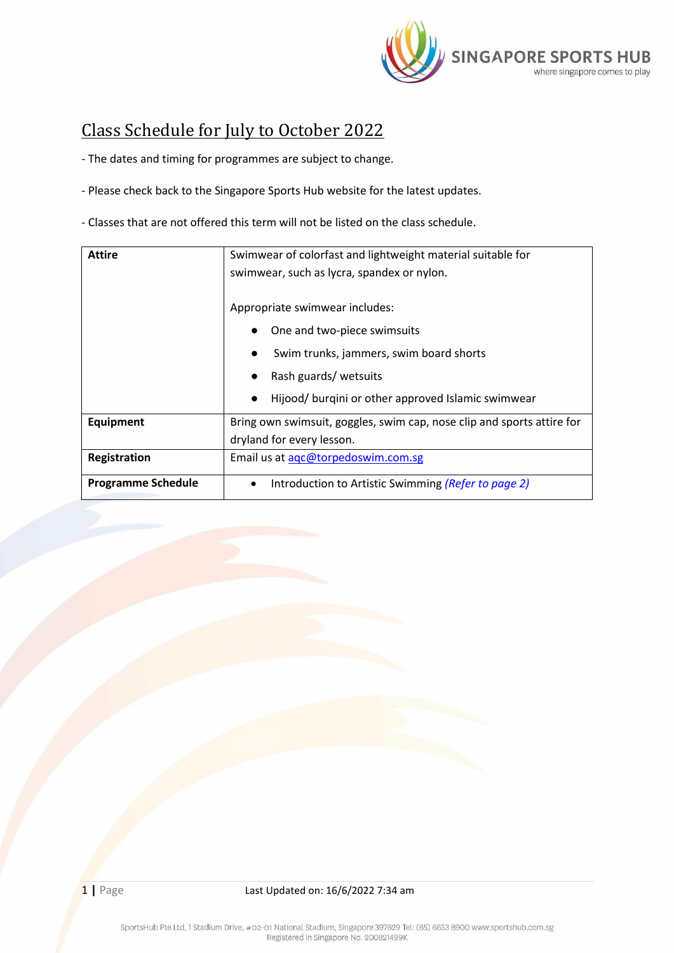

## <span id="page-0-1"></span>Class Schedule for July to October 2022

- The dates and timing for programmes are subject to change.

- Please check back to the Singapore Sports Hub website for the latest updates.

- Classes that are not offered this term will not be listed on the class schedule.

<span id="page-0-0"></span>

| Swimwear of colorfast and lightweight material suitable for            |  |  |
|------------------------------------------------------------------------|--|--|
| swimwear, such as lycra, spandex or nylon.                             |  |  |
|                                                                        |  |  |
| Appropriate swimwear includes:                                         |  |  |
| One and two-piece swimsuits                                            |  |  |
| Swim trunks, jammers, swim board shorts                                |  |  |
| Rash guards/ wetsuits                                                  |  |  |
| Hijood/ burgini or other approved Islamic swimwear<br>$\bullet$        |  |  |
| Bring own swimsuit, goggles, swim cap, nose clip and sports attire for |  |  |
| dryland for every lesson.                                              |  |  |
| Email us at agc@torpedoswim.com.sg                                     |  |  |
| Introduction to Artistic Swimming (Refer to page 2)                    |  |  |
|                                                                        |  |  |